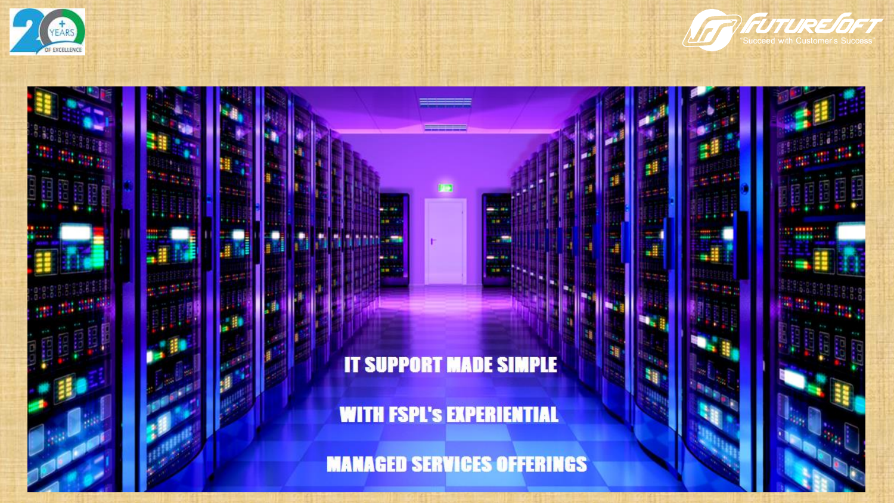



**Pamo** 

# **IT SUPPORT MADE SIMPLE**

**WITH FSPL'S EXPERIENTIAL** 

**MANAGED SERVICES OFFERINGS**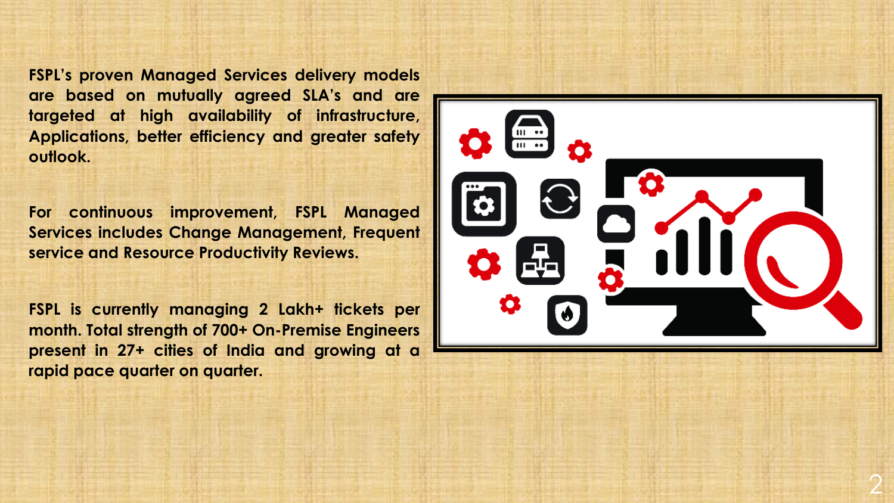**FSPL's proven Managed Services delivery models are based on mutually agreed SLA's and are targeted at high availability of infrastructure, Applications, better efficiency and greater safety outlook.**

**For continuous improvement, FSPL Managed Services includes Change Management, Frequent service and Resource Productivity Reviews.**

**FSPL is currently managing 2 Lakh+ tickets per month. Total strength of 700+ On-Premise Engineers present in 27+ cities of India and growing at a rapid pace quarter on quarter.**

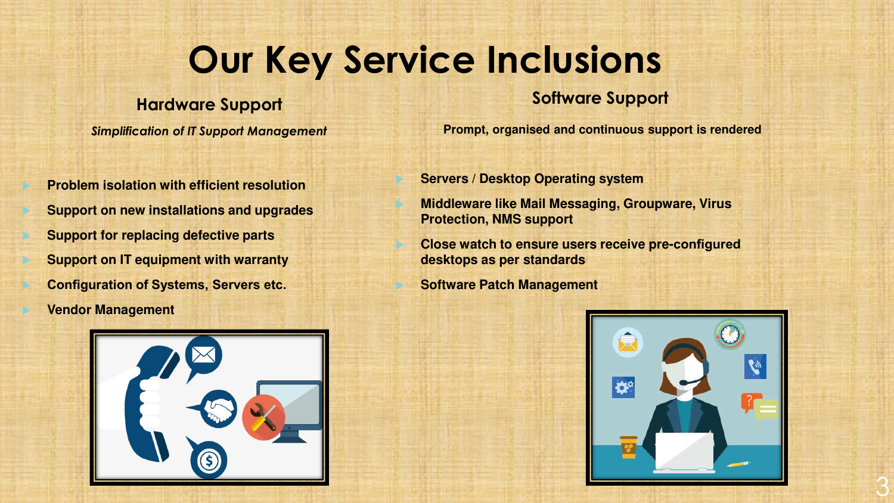# **Our Key Service Inclusions**

#### **Hardware Support**

*Simplification of IT Support Management*

 **Problem isolation with efficient resolution Support on new installations and upgrades Support for replacing defective parts Support on IT equipment with warranty Configuration of Systems, Servers etc. Vendor Management**



#### **Software Support**

**Prompt, organised and continuous support is rendered** 

**Servers / Desktop Operating system**

 **Middleware like Mail Messaging, Groupware, Virus Protection, NMS support**

 **Close watch to ensure users receive pre-configured desktops as per standards**

**Software Patch Management**

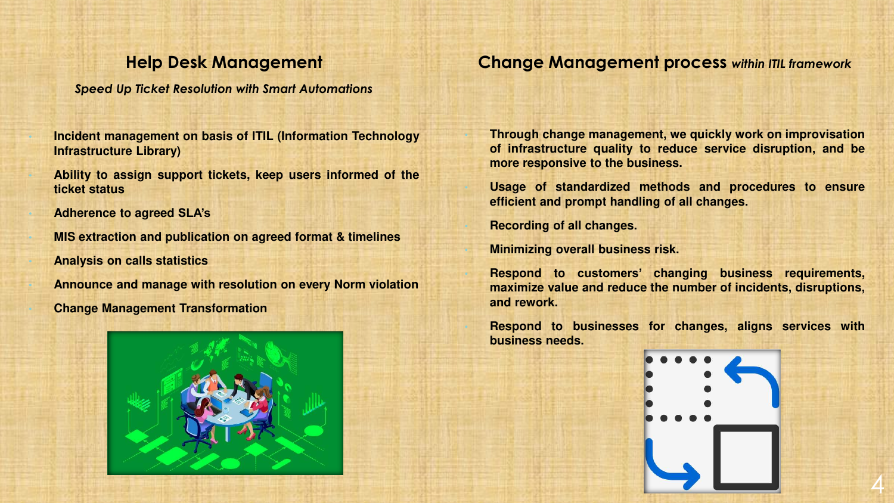#### **Help Desk Management**

*Speed Up Ticket Resolution with Smart Automations*

• **Incident management on basis of ITIL (Information Technology Infrastructure Library)**

• **Ability to assign support tickets, keep users informed of the ticket status**

• **Adherence to agreed SLA's**

• **MIS extraction and publication on agreed format & timelines** • **Analysis on calls statistics**

• **Announce and manage with resolution on every Norm violation**

• **Change Management Transformation**



**Change Management process** *within ITIL framework*

• **Through change management, we quickly work on improvisation of infrastructure quality to reduce service disruption, and be more responsive to the business.**

• **Usage of standardized methods and procedures to ensure efficient and prompt handling of all changes.**

• **Recording of all changes.**

• **Minimizing overall business risk.**

• **Respond to customers' changing business requirements, maximize value and reduce the number of incidents, disruptions, and rework.**

• **Respond to businesses for changes, aligns services with business needs.**

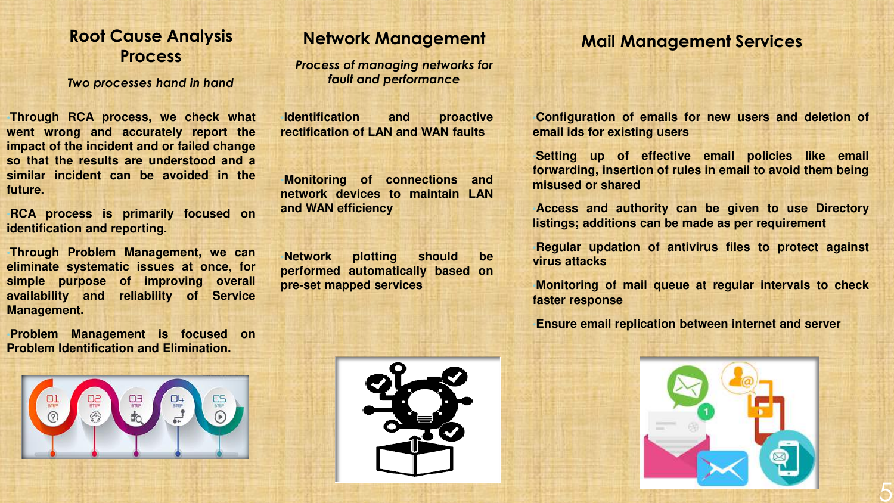#### **Root Cause Analysis Process**

*Two processes hand in hand*

•**Through RCA process, we check what went wrong and accurately report the impact of the incident and or failed change so that the results are understood and a similar incident can be avoided in the future.**

•**RCA process is primarily focused on identification and reporting.**

•**Through Problem Management, we can eliminate systematic issues at once, for simple purpose of improving overall availability and reliability of Service Management.**

•**Problem Management is focused on Problem Identification and Elimination.**



#### **Network Management**

*Process of managing networks for fault and performance*

•**Identification and proactive rectification of LAN and WAN faults**

•**Monitoring of connections and network devices to maintain LAN and WAN efficiency**

•**Network plotting should be performed automatically based on pre-set mapped services**

#### **Mail Management Services**

•**Configuration of emails for new users and deletion of email ids for existing users**

•**Setting up of effective email policies like email forwarding, insertion of rules in email to avoid them being misused or shared**

•**Access and authority can be given to use Directory listings; additions can be made as per requirement**

•**Regular updation of antivirus files to protect against virus attacks**

•**Monitoring of mail queue at regular intervals to check faster response**

•**Ensure email replication between internet and server**



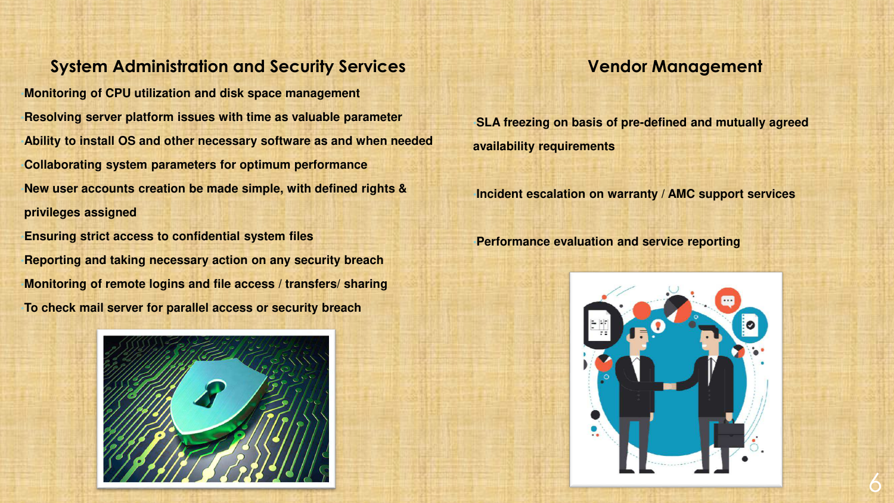#### **System Administration and Security Services**

•**Monitoring of CPU utilization and disk space management**  •**Resolving server platform issues with time as valuable parameter** •**Ability to install OS and other necessary software as and when needed** •**Collaborating system parameters for optimum performance** •**New user accounts creation be made simple, with defined rights & privileges assigned**

•**Ensuring strict access to confidential system files** •**Reporting and taking necessary action on any security breach** •**Monitoring of remote logins and file access / transfers/ sharing** •**To check mail server for parallel access or security breach**



•**SLA freezing on basis of pre-defined and mutually agreed availability requirements**

•**Incident escalation on warranty / AMC support services**

•**Performance evaluation and service reporting**



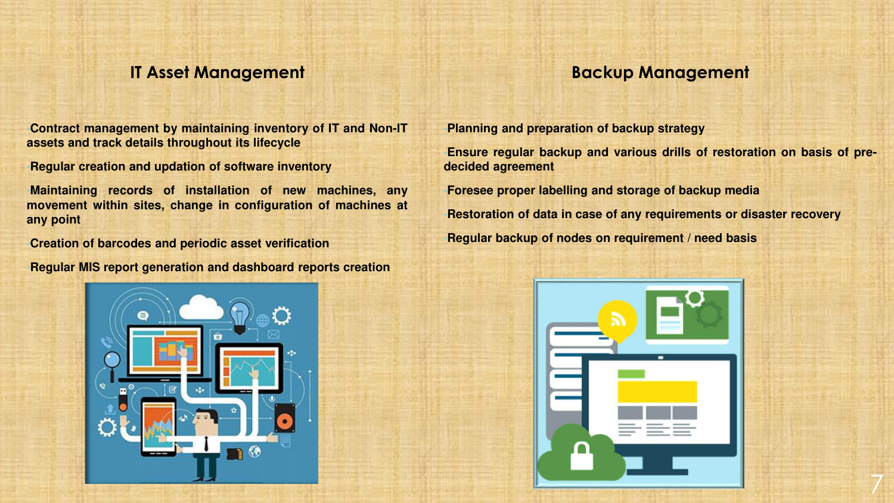#### **IT Asset Management**

#### **Backup Management**

•**Contract management by maintaining inventory of IT and Non-IT assets and track details throughout its lifecycle**

•**Regular creation and updation of software inventory**

•**Maintaining records of installation of new machines, any movement within sites, change in configuration of machines at any point**

•**Creation of barcodes and periodic asset verification**

•**Regular MIS report generation and dashboard reports creation**



•**Planning and preparation of backup strategy**

•**Ensure regular backup and various drills of restoration on basis of predecided agreement**

•**Foresee proper labelling and storage of backup media**

•**Restoration of data in case of any requirements or disaster recovery** •**Regular backup of nodes on requirement / need basis**

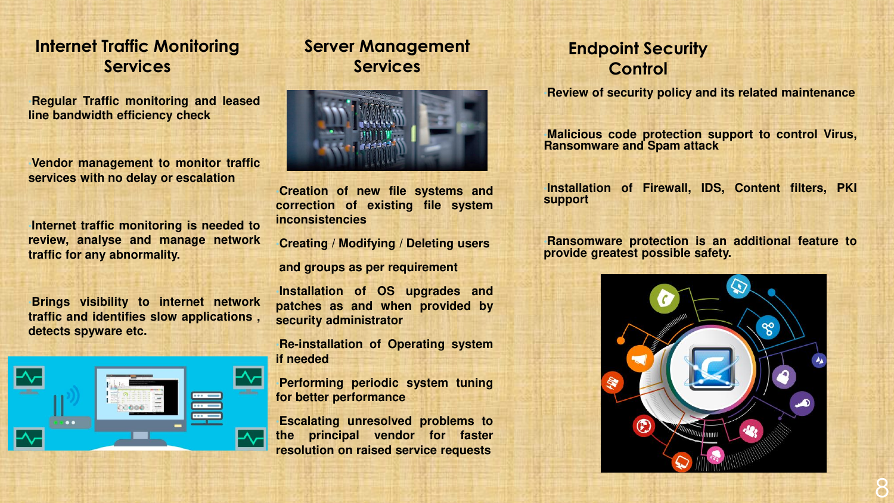#### **Internet Traffic Monitoring Services**

•**Regular Traffic monitoring and leased line bandwidth efficiency check**

•**Vendor management to monitor traffic services with no delay or escalation**

•**Internet traffic monitoring is needed to review, analyse and manage network traffic for any abnormality.**

•**Brings visibility to internet network traffic and identifies slow applications , detects spyware etc.**



### **Server Management Services**



•**Creation of new file systems and correction of existing file system inconsistencies**

•**Creating / Modifying / Deleting users**

**and groups as per requirement**

•**Installation of OS upgrades and patches as and when provided by security administrator**

•**Re-installation of Operating system if needed**

•**Performing periodic system tuning for better performance**

•**Escalating unresolved problems to the principal vendor for faster resolution on raised service requests**

## **Endpoint Security Control**

•**Review of security policy and its related maintenance**

•**Malicious code protection support to control Virus, Ransomware and Spam attack**

•**Installation of Firewall, IDS, Content filters, PKI support**

•**Ransomware protection is an additional feature to provide greatest possible safety.**